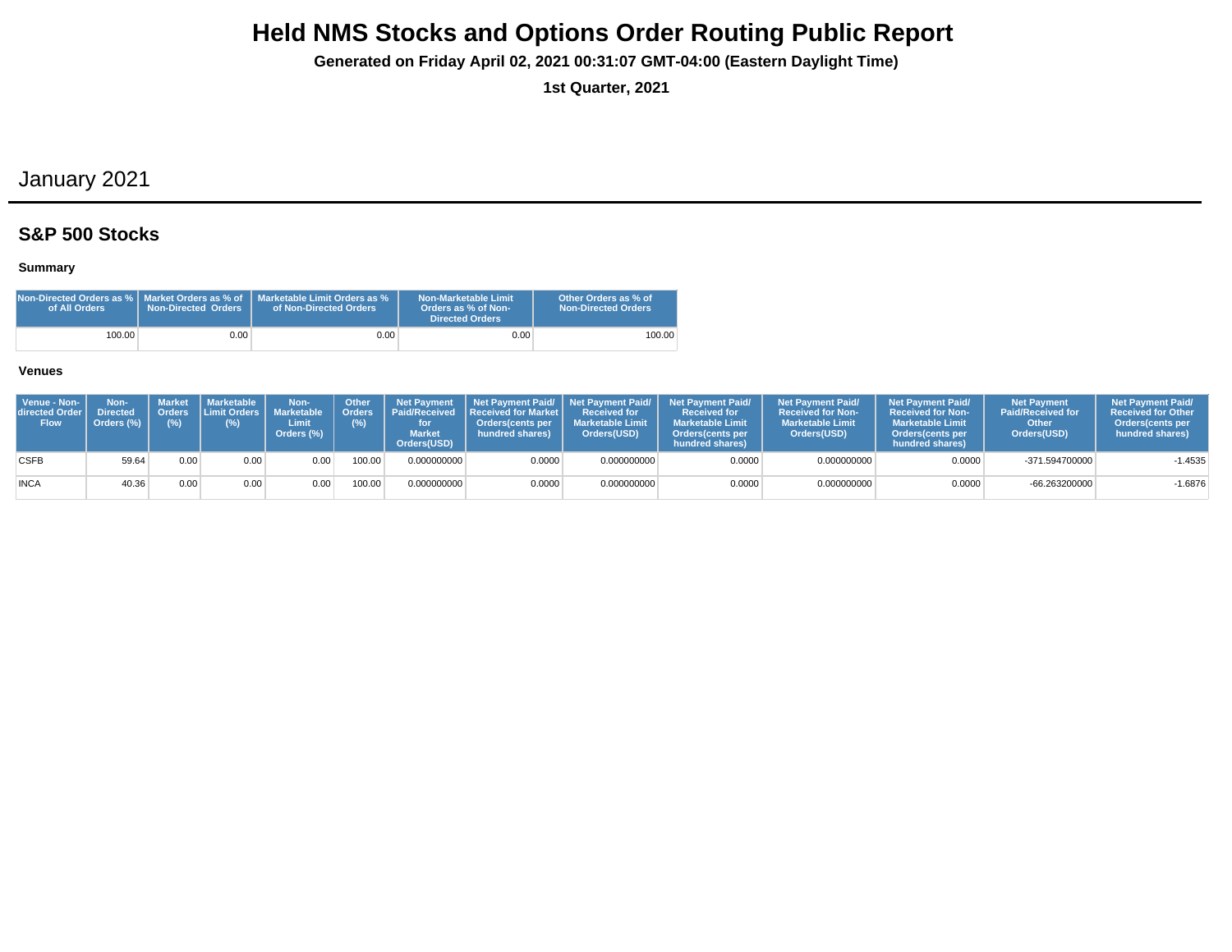**Generated on Friday April 02, 2021 00:31:07 GMT-04:00 (Eastern Daylight Time)**

**1st Quarter, 2021**

## January 2021

## **S&P 500 Stocks**

#### **Summary**

| Non-Directed Orders as %   Market Orders as % of<br>of All Orders | <b>Non-Directed Orders</b> | Marketable Limit Orders as %<br>of Non-Directed Orders | Non-Marketable Limit<br>Orders as % of Non-<br>Directed Orders | Other Orders as % of<br>Non-Directed Orders |
|-------------------------------------------------------------------|----------------------------|--------------------------------------------------------|----------------------------------------------------------------|---------------------------------------------|
| 100.00                                                            | 9.00 <sub>1</sub>          | $0.00\,$                                               | 0.00                                                           | 100.00                                      |

| Venue - Non-<br><b>directed Order I</b><br><b>Flow</b> | Non-<br><b>Directed</b><br>Orders (%) | Market<br>(%) | Marketable  <br>$(\%)$ | Non-<br>Orders Limit Orders Marketable   Orders<br>Limit<br>Orders (%) | <b>Other</b><br>(%) | <b>Market</b><br>Orders(USD) | Net Payment   Net Payment Paid/   Net Payment Paid/  <br><b>Paid/Received Received for Market I</b><br>Orders(cents per<br>hundred shares) | <b>Received for</b><br><b>Marketable Limit</b><br>Orders(USD) | <b>Net Payment Paid/</b><br><b>Received for</b><br><b>Marketable Limit</b><br><b>Orders</b> (cents per<br>hundred shares) | <b>Net Payment Paid/</b><br><b>Received for Non-</b><br><b>Marketable Limit</b><br>Orders(USD) | <b>Net Payment Paid/</b><br><b>Received for Non-</b><br><b>Marketable Limit</b><br><b>Orders</b> (cents per<br>hundred shares) | Net Payment<br><b>Paid/Received for</b><br>Other<br>Orders(USD) | <b>Net Payment Paid/</b><br><b>Received for Other</b><br>Orders(cents per<br>hundred shares) |
|--------------------------------------------------------|---------------------------------------|---------------|------------------------|------------------------------------------------------------------------|---------------------|------------------------------|--------------------------------------------------------------------------------------------------------------------------------------------|---------------------------------------------------------------|---------------------------------------------------------------------------------------------------------------------------|------------------------------------------------------------------------------------------------|--------------------------------------------------------------------------------------------------------------------------------|-----------------------------------------------------------------|----------------------------------------------------------------------------------------------|
| <b>CSFB</b>                                            | 59.64                                 | 0.00          | 0.00                   | 0.00                                                                   | 100.00              | 0.000000000                  | 0.0000                                                                                                                                     | 0.000000000                                                   | 0.0000                                                                                                                    | 0.000000000                                                                                    | 0.0000                                                                                                                         | -371.594700000                                                  | $-1.4535$                                                                                    |
| <b>INCA</b>                                            | 40.36                                 | 0.00          | 0.00                   | 0.00                                                                   | 100.00              | 0.000000000                  | 0.0000                                                                                                                                     | 0.000000000                                                   | 0.0000                                                                                                                    | 0.000000000                                                                                    | 0.0000                                                                                                                         | -66.263200000                                                   | $-1.6876$                                                                                    |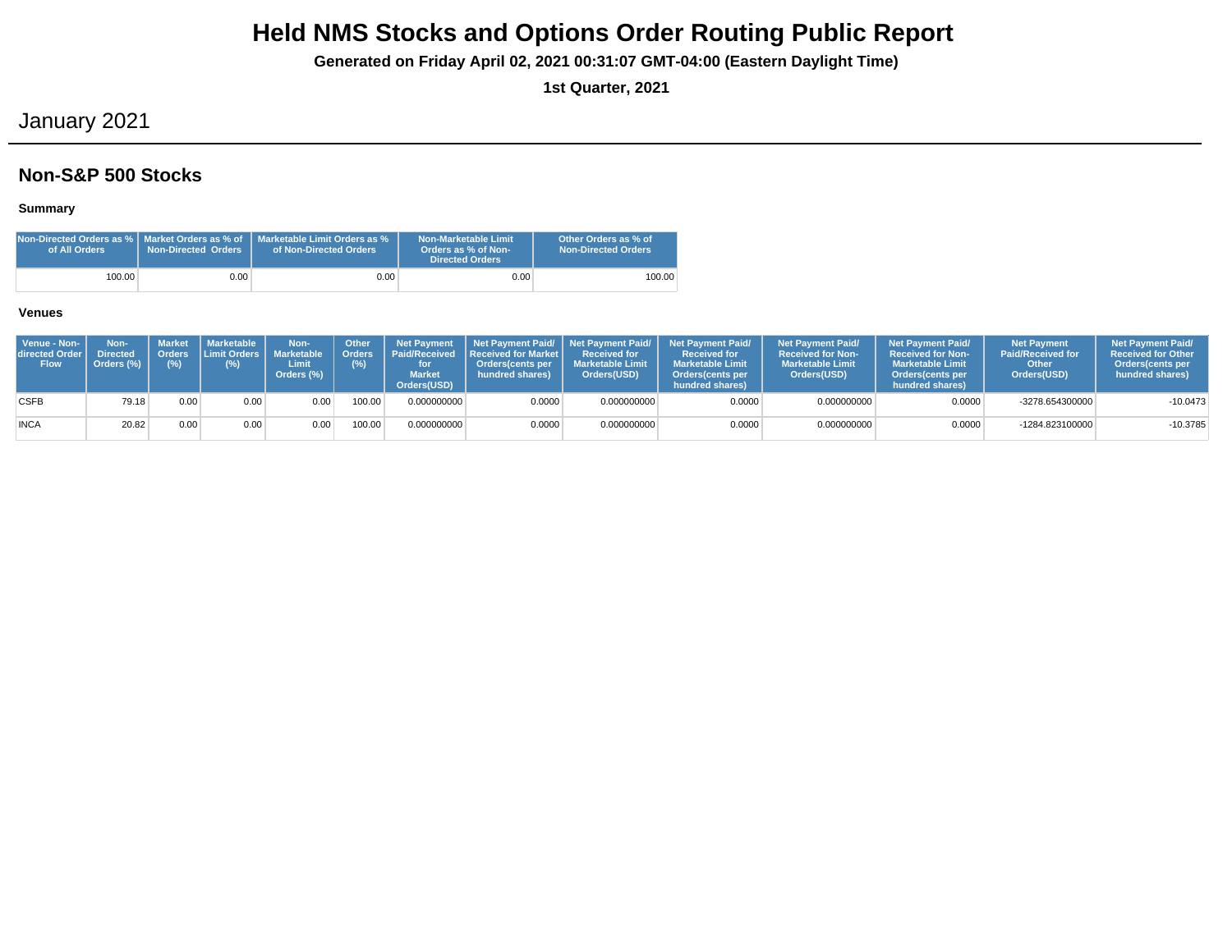**Generated on Friday April 02, 2021 00:31:07 GMT-04:00 (Eastern Daylight Time)**

**1st Quarter, 2021**

## January 2021

## **Non-S&P 500 Stocks**

#### **Summary**

| of All Orders | <b>Non-Directed Orders</b> | $\,$ Non-Directed Orders as % $\,$ Market Orders as % of $\,$ Marketable Limit Orders as % $\,$<br>of Non-Directed Orders | Non-Marketable Limit<br>Orders as % of Non-<br>Directed Orders | Other Orders as % of<br><b>Non-Directed Orders</b> |
|---------------|----------------------------|---------------------------------------------------------------------------------------------------------------------------|----------------------------------------------------------------|----------------------------------------------------|
| 100.00        | 0.00                       | 0.00 <sub>1</sub>                                                                                                         | 0.00                                                           | 100.00                                             |

| Venue - Non-<br>directed Order I<br><b>Flow</b> | Non-<br><b>Directed</b><br>Orders (%) | (% ) | Market   Marketable<br>Orders Limit Orders   Marketable<br>$(\%)$ | Non-<br>Limit<br>Orders (%) | Other<br>Orders<br>(%) | <b>Net Payment</b><br><b>Market</b><br>Orders(USD) | Paid/Received   Received for Market  <br>Orders(cents per<br>hundred shares) | <b>Received for</b><br><b>Marketable Limit</b><br>Orders(USD) | Net Payment Paid/ Net Payment Paid/ Net Payment Paid/<br><b>Received for</b><br><b>Marketable Limit</b><br>Orders (cents per<br>hundred shares) | <b>Net Payment Paid/</b><br><b>Received for Non-</b><br><b>Marketable Limit</b><br>Orders(USD) | <b>Net Payment Paid/</b><br><b>Received for Non-</b><br><b>Marketable Limit</b><br>Orders(cents per<br>hundred shares) | <b>Net Payment</b><br><b>Paid/Received for</b><br>Other<br>Orders(USD) | <b>Net Payment Paid/</b><br><b>Received for Other</b><br><b>Orders</b> (cents per<br>hundred shares) |
|-------------------------------------------------|---------------------------------------|------|-------------------------------------------------------------------|-----------------------------|------------------------|----------------------------------------------------|------------------------------------------------------------------------------|---------------------------------------------------------------|-------------------------------------------------------------------------------------------------------------------------------------------------|------------------------------------------------------------------------------------------------|------------------------------------------------------------------------------------------------------------------------|------------------------------------------------------------------------|------------------------------------------------------------------------------------------------------|
| <b>CSFB</b>                                     | 79.18                                 | 0.00 | 0.00                                                              | 0.00                        | 100.00                 | 0.000000000                                        | 0.0000                                                                       | 0.000000000                                                   | 0.0000                                                                                                                                          | 0.000000000                                                                                    | 0.0000                                                                                                                 | -3278.654300000                                                        | $-10.0473$                                                                                           |
| <b>INCA</b>                                     | 20.82                                 | 0.00 | 0.00                                                              | 0.00                        | 100.00                 | 0.000000000                                        | 0.0000                                                                       | 0.000000000                                                   | 0.0000                                                                                                                                          | 0.000000000                                                                                    | 0.0000                                                                                                                 | -1284.823100000                                                        | $-10.3785$                                                                                           |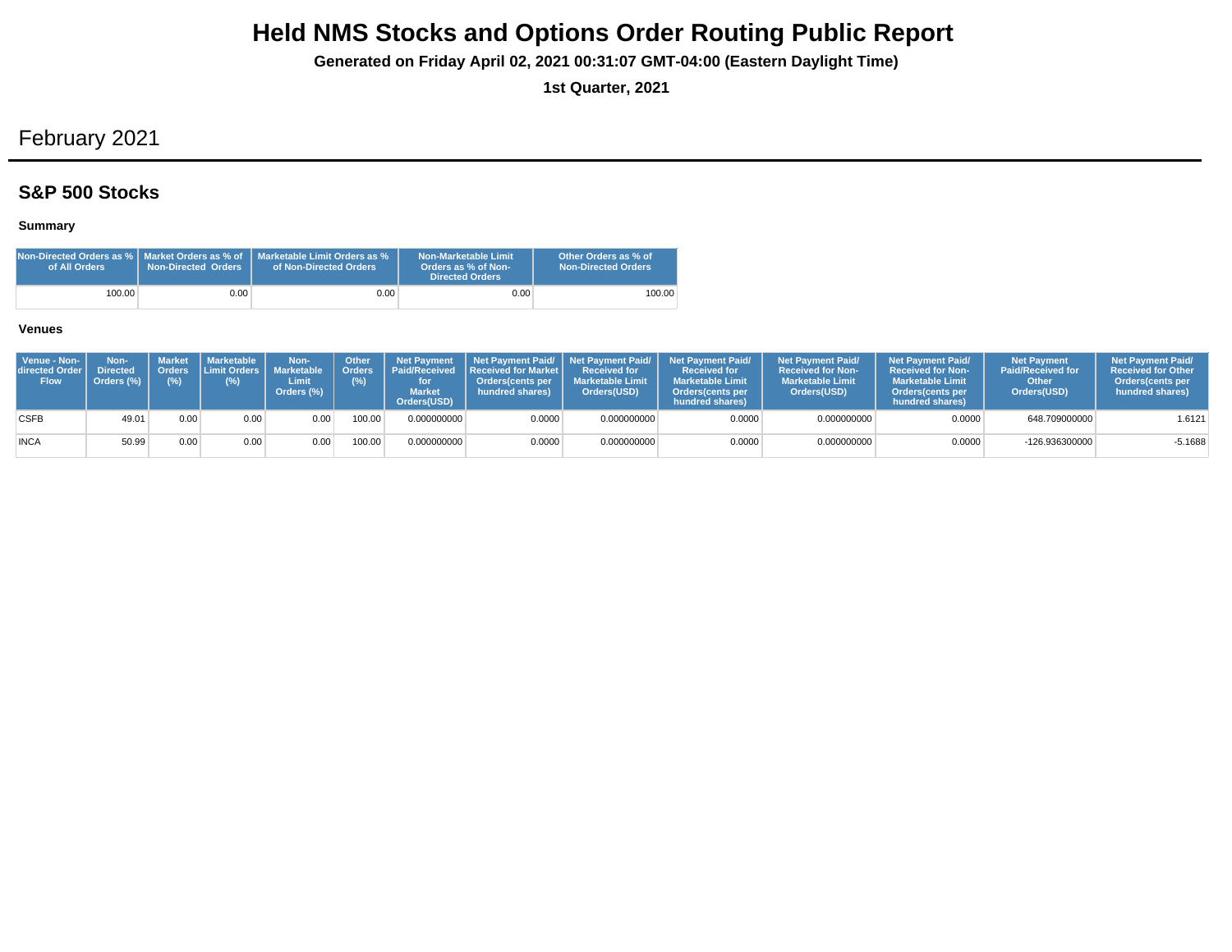**Generated on Friday April 02, 2021 00:31:07 GMT-04:00 (Eastern Daylight Time)**

**1st Quarter, 2021**

# February 2021

## **S&P 500 Stocks**

### **Summary**

| Non-Directed Orders as %   Market Orders as % of<br>of All Orders | <b>Non-Directed Orders</b> | Marketable Limit Orders as %<br>of Non-Directed Orders | Non-Marketable Limit<br>Orders as % of Non-<br>Directed Orders | Other Orders as % of<br>Non-Directed Orders |
|-------------------------------------------------------------------|----------------------------|--------------------------------------------------------|----------------------------------------------------------------|---------------------------------------------|
| 100.00                                                            | 0.00                       | $0.00 -$                                               | 0.00                                                           | 100.00                                      |

| Venue - Non-<br>directed Order I<br><b>Flow</b> | Non-<br><b>Directed</b><br>Orders (%) | (% ) | Market   Marketable<br>L Orders I Limit Orders I I<br>(%) | Non-<br>Marketable<br>Limit<br>Orders (%) | <b>Other</b><br>(%) | <b>Net Payment</b><br><b>Market</b><br>Orders(USD) | Orders   Paid/Received   Received for Market  <br>Orders(cents per<br>hundred shares) | <b>Received for</b><br><b>Marketable Limit</b><br>Orders(USD) | Net Payment Paid/ Net Payment Paid/ Net Payment Paid/<br><b>Received for</b><br><b>Marketable Limit</b><br>Orders(cents per<br>hundred shares) | <b>Net Payment Paid/</b><br><b>Received for Non-</b><br><b>Marketable Limit</b><br>Orders(USD) | <b>Net Payment Paid/</b><br><b>Received for Non-</b><br><b>Marketable Limit</b><br><b>Orders</b> (cents per<br>hundred shares) | <b>Net Payment</b><br><b>Paid/Received for</b><br>Other<br>Orders(USD) | <b>Net Payment Paid/</b><br><b>Received for Other</b><br><b>Orders</b> (cents per<br>hundred shares) |
|-------------------------------------------------|---------------------------------------|------|-----------------------------------------------------------|-------------------------------------------|---------------------|----------------------------------------------------|---------------------------------------------------------------------------------------|---------------------------------------------------------------|------------------------------------------------------------------------------------------------------------------------------------------------|------------------------------------------------------------------------------------------------|--------------------------------------------------------------------------------------------------------------------------------|------------------------------------------------------------------------|------------------------------------------------------------------------------------------------------|
| <b>CSFB</b>                                     | 49.01                                 | 0.00 | 0.00                                                      | 0.00                                      | 100.00              | 0.000000000                                        | 0.0000                                                                                | 0.000000000                                                   | 0.0000                                                                                                                                         | 0.000000000                                                                                    | 0.0000                                                                                                                         | 648.709000000                                                          | 1.6121                                                                                               |
| <b>INCA</b>                                     | 50.99                                 | 0.00 | 0.00                                                      | 0.00 <sub>1</sub>                         | 00.00               | 0.000000000                                        | 0.0000                                                                                | 0.000000000                                                   | 0.0000                                                                                                                                         | 0.000000000                                                                                    | 0.0000                                                                                                                         | $-126.936300000$                                                       | $-5.1688$                                                                                            |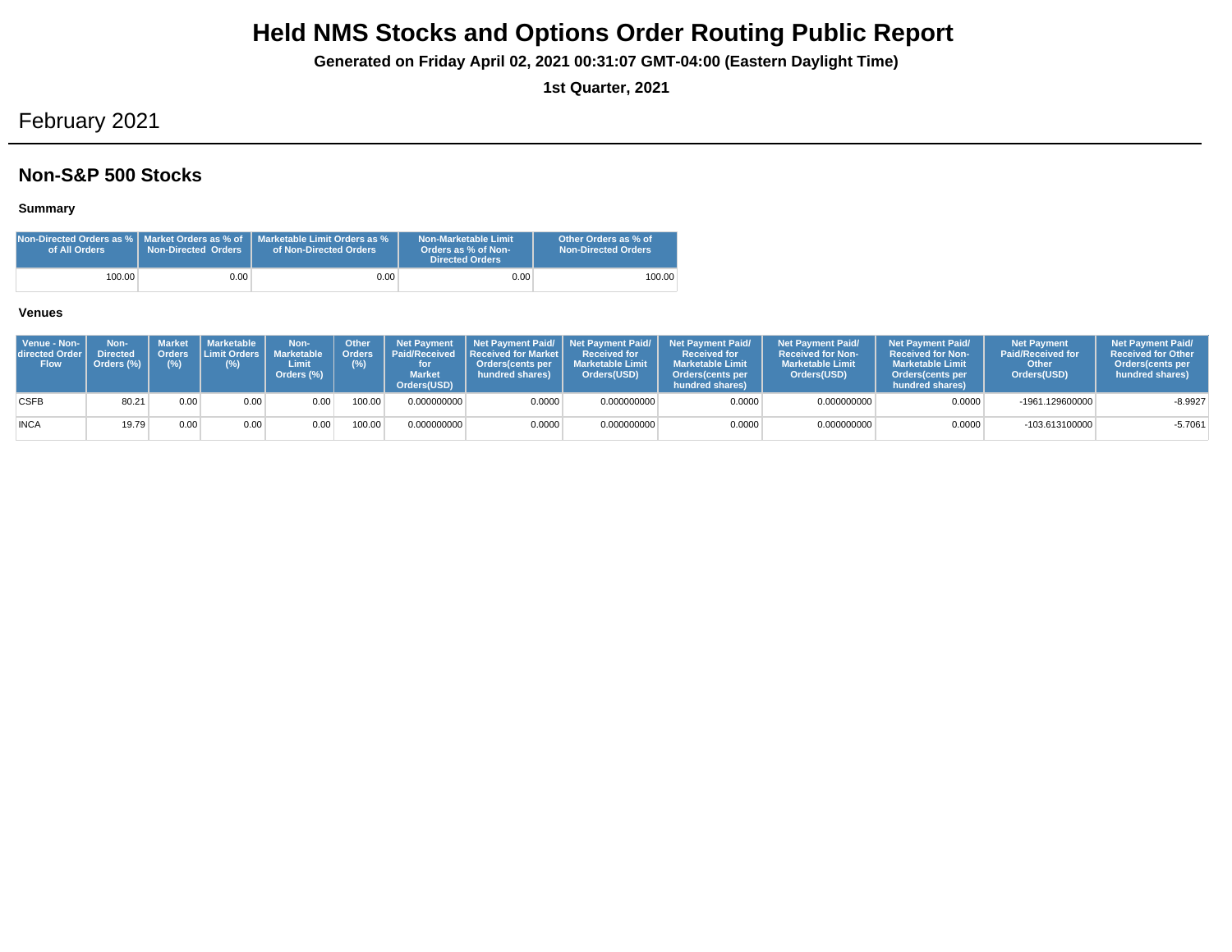**Generated on Friday April 02, 2021 00:31:07 GMT-04:00 (Eastern Daylight Time)**

**1st Quarter, 2021**

# February 2021

## **Non-S&P 500 Stocks**

### **Summary**

| of All Orders | <b>Non-Directed Orders</b> | $\,$ Non-Directed Orders as % $\,$ Market Orders as % of $\,$ Marketable Limit Orders as % $\,$<br>of Non-Directed Orders | Non-Marketable Limit<br>Orders as % of Non-<br>Directed Orders | Other Orders as % of<br><b>Non-Directed Orders</b> |
|---------------|----------------------------|---------------------------------------------------------------------------------------------------------------------------|----------------------------------------------------------------|----------------------------------------------------|
| 100.00        | 0.00                       | 0.00 <sub>1</sub>                                                                                                         | 0.00                                                           | 100.00                                             |

| Venue - Non-<br>directed Order I<br><b>Flow</b> | Non-<br><b>Directed</b><br>Orders (%) | Orders<br>$(\%)$ | Market   Marketable<br><b>ILimit Orders I</b><br>(%) | Non-<br><b>Marketable</b><br>Limit<br>Orders (%) | <b>Other</b><br>Orders <sup>'</sup><br>(%) | <b>Net Payment</b><br><b>Market</b><br>Orders(USD) | Paid/Received Received for Market I<br><b>Orders</b> (cents per<br>hundred shares) | <b>Received for</b><br><b>Marketable Limit</b><br>Orders(USD) | Net Payment Paid/ Net Payment Paid/ Net Payment Paid/<br><b>Received for</b><br><b>Marketable Limit</b><br>Orders (cents per<br>hundred shares) | <b>Net Payment Paid/</b><br><b>Received for Non-</b><br><b>Marketable Limit</b><br>Orders(USD) | <b>Net Payment Paid/</b><br><b>Received for Non-</b><br><b>Marketable Limit</b><br><b>Orders</b> (cents per<br>hundred shares) | <b>Net Payment</b><br><b>Paid/Received for</b><br>Other<br>Orders(USD) | <b>Net Payment Paid/</b><br><b>Received for Other</b><br>Orders (cents per<br>hundred shares) |
|-------------------------------------------------|---------------------------------------|------------------|------------------------------------------------------|--------------------------------------------------|--------------------------------------------|----------------------------------------------------|------------------------------------------------------------------------------------|---------------------------------------------------------------|-------------------------------------------------------------------------------------------------------------------------------------------------|------------------------------------------------------------------------------------------------|--------------------------------------------------------------------------------------------------------------------------------|------------------------------------------------------------------------|-----------------------------------------------------------------------------------------------|
| <b>CSFB</b>                                     | 80.21                                 | 0.00             | 0.00                                                 | 0.00                                             | 100.00                                     | 0.000000000                                        | 0.0000                                                                             | 0.000000000                                                   | 0.0000                                                                                                                                          | 0.000000000                                                                                    | 0.0000                                                                                                                         | -1961.129600000                                                        | $-8.9927$                                                                                     |
| <b>INCA</b>                                     | 19.79                                 | 0.00             | 0.00                                                 | 0.00                                             | 100.00                                     | 0.000000000                                        | 0.0000                                                                             | 0.000000000                                                   | 0.0000                                                                                                                                          | 0.000000000                                                                                    | 0.0000                                                                                                                         | -103.613100000                                                         | $-5.7061$                                                                                     |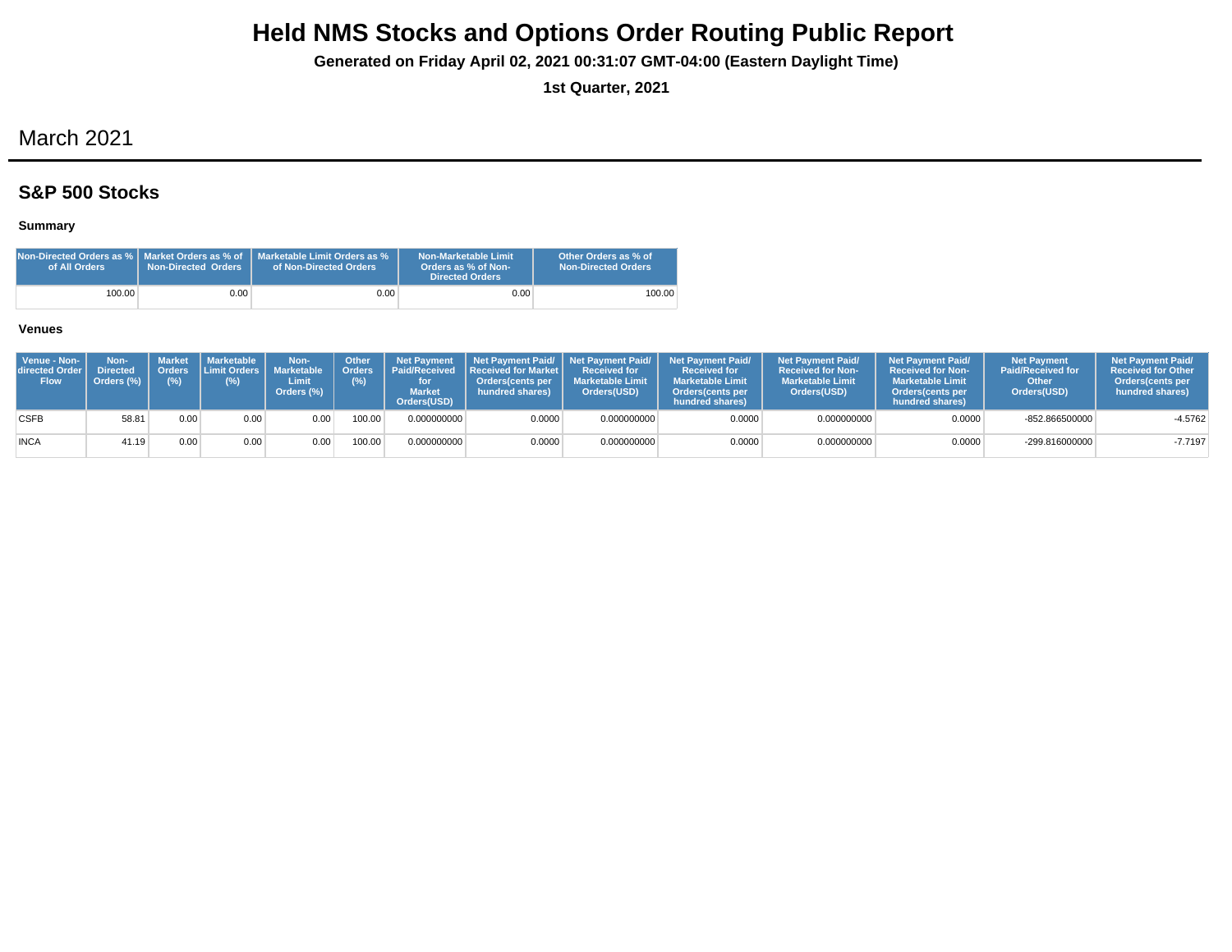**Generated on Friday April 02, 2021 00:31:07 GMT-04:00 (Eastern Daylight Time)**

**1st Quarter, 2021**

# March 2021

## **S&P 500 Stocks**

### **Summary**

| Non-Directed Orders as %   Market Orders as % of $\,$ '<br>of All Orders | <b>Non-Directed Orders</b> | Marketable Limit Orders as %<br>of Non-Directed Orders | Non-Marketable Limit<br>Orders as % of Non-<br><b>Directed Orders</b> | Other Orders as % of<br>Non-Directed Orders |
|--------------------------------------------------------------------------|----------------------------|--------------------------------------------------------|-----------------------------------------------------------------------|---------------------------------------------|
| 100.00                                                                   | 0.00 <sub>1</sub>          | 0.00 <sub>1</sub>                                      | 0.00                                                                  | 100.00                                      |

| Venue - Non-<br>directed Order<br><b>Flow</b> | Non-<br><b>Directed</b><br>Orders (%) | <b>Market</b><br>(%) | <b>I</b> Marketable I<br>Orders Limit Orders I<br>(%) | Non-<br><b>Marketable</b><br>Limit<br>Orders (%) | Other<br>(%) | <b>Net Payment</b><br>Orders   Paid/Received<br><b>Market</b><br>Orders(USD) | <b>Received for Market L</b><br>Orders cents per<br>hundred shares) | Received for<br><b>Marketable Limit</b><br>Orders(USD) | Net Payment Paid/ Net Payment Paid/ Net Payment Paid/<br><b>Received for</b><br><b>Marketable Limit</b><br><b>Orders</b> (cents per<br>hundred shares) | <b>Net Payment Paid/</b><br><b>Received for Non-</b><br><b>Marketable Limit</b><br>Orders(USD) | <b>Net Payment Paid/</b><br>Received for Non-<br><b>Marketable Limit</b><br><b>Orders</b> (cents per<br>hundred shares) | <b>Net Payment</b><br><b>Paid/Received for</b><br>Other<br>Orders(USD) | <b>Net Payment Paid/</b><br><b>Received for Other</b><br><b>Orders</b> (cents per<br>hundred shares) |
|-----------------------------------------------|---------------------------------------|----------------------|-------------------------------------------------------|--------------------------------------------------|--------------|------------------------------------------------------------------------------|---------------------------------------------------------------------|--------------------------------------------------------|--------------------------------------------------------------------------------------------------------------------------------------------------------|------------------------------------------------------------------------------------------------|-------------------------------------------------------------------------------------------------------------------------|------------------------------------------------------------------------|------------------------------------------------------------------------------------------------------|
| <b>CSFB</b>                                   | 58.8'                                 | 0.00                 | 0.00                                                  | 0.00                                             | 100.00       | 0.000000000                                                                  | 0.0000                                                              | 0.000000000                                            | 0.0000                                                                                                                                                 | 0.000000000                                                                                    | 0.0000                                                                                                                  | $-852.866500000$                                                       | $-4.5762$                                                                                            |
| <b>INCA</b>                                   | 41.19                                 | 0.00                 | 0.00                                                  | 0.00                                             | 100.00       | 0.000000000                                                                  | 0.0000                                                              | 0.000000000                                            | 0.0000                                                                                                                                                 | 0.000000000                                                                                    | 0.0000                                                                                                                  | -299.816000000                                                         | $-7.7197$                                                                                            |